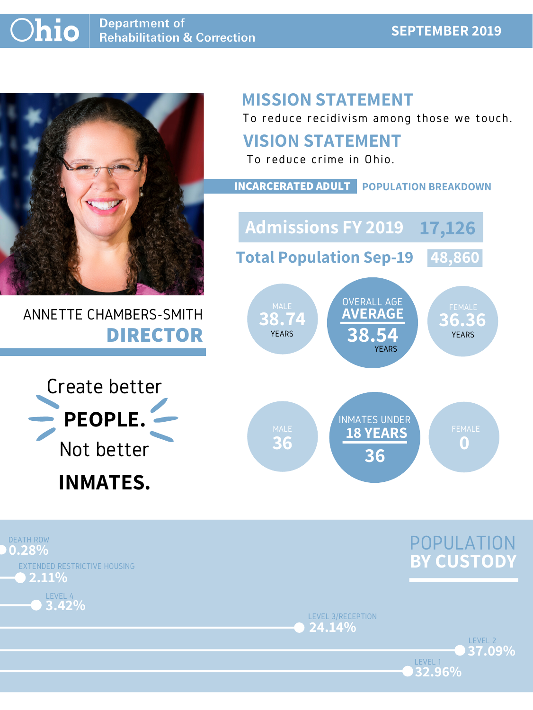#### **Ohio Department of Rehabilitation & Correction**

#### **SEPTEMBER 2019**



## ANNETTE CHAMBERS-SMITH **DIRECTOR**

## **MISSION STATEMENT**

To reduce recidivism among those we touch.





LEVEL 1

LEVEL 3/RECEPTION **24.14%**





## **VISION STATEMENT**



To reduce crime in Ohio.

**INCARCERATED ADULT POPULATION BREAKDOWN**

**Total Population Sep-19 48,860**

**Admissions FY 2019 17,126**

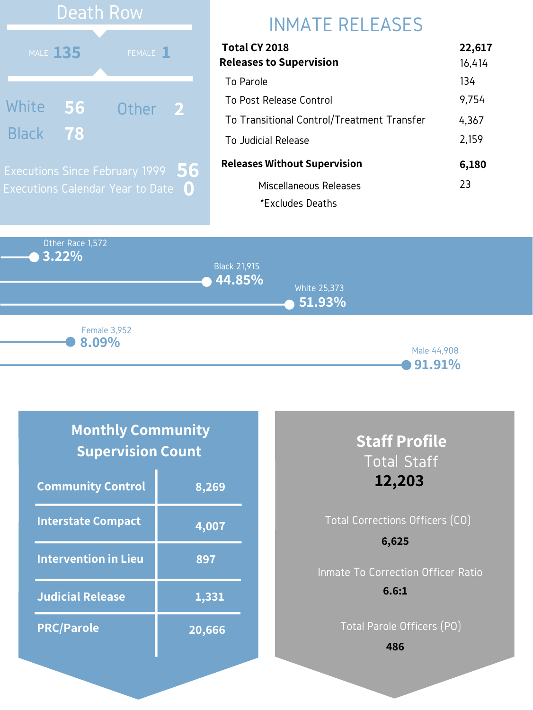Other Race 1,572 **3.22% 44.85% 51.93%** Black 21,915 White 25,373 Male 44,908 **8.09%** Female 3,952

**91.91%**

## INMATE RELEASES

| Total CY 2018                              | 22,617 |
|--------------------------------------------|--------|
| <b>Releases to Supervision</b>             | 16,414 |
| To Parole                                  | 134    |
| To Post Release Control                    | 9,754  |
| To Transitional Control/Treatment Transfer | 4,367  |
| To Judicial Release                        | 2,159  |
| <b>Releases Without Supervision</b>        | 6,180  |
| Miscellaneous Releases                     | 23     |
| *Excludes Deaths                           |        |



## **Monthly Community Supervision Count**

| <b>Community Control</b>    | 8,269  |
|-----------------------------|--------|
| Interstate Compact          | 4,007  |
| <b>Intervention in Lieu</b> | 897    |
| <b>Judicial Release</b>     | 1,331  |
| <b>PRC/Parole</b>           | 20,666 |

## **Staff Profile** Total Staff **12,203**

# Total Corrections Officers (CO) Inmate To Correction Officer Ratio **6,625 6.6:1**

Total Parole Officers (PO)

**486**